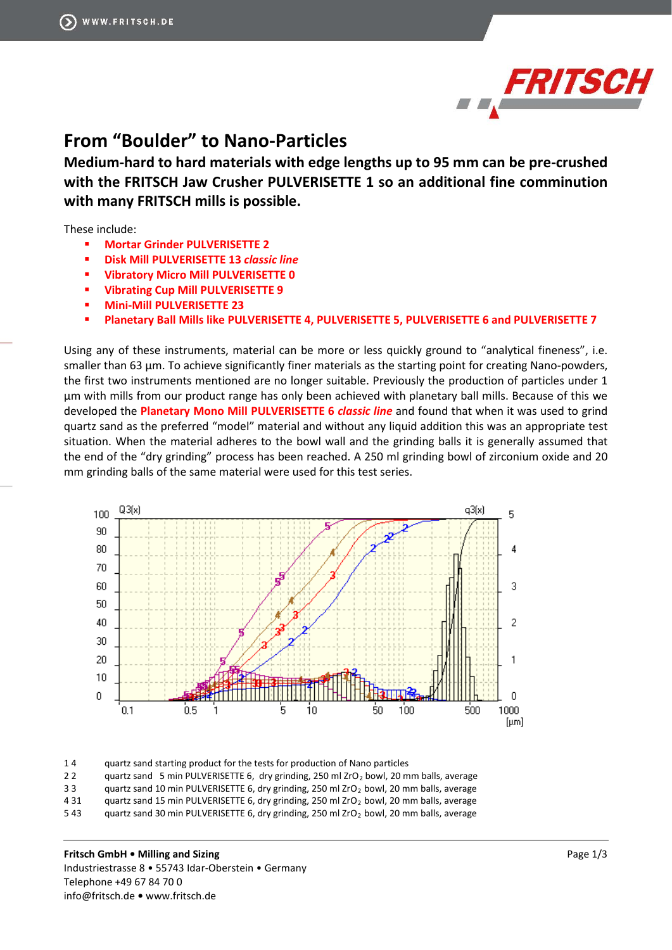

## **From "Boulder" to Nano-Particles**

**Medium-hard to hard materials with edge lengths up to 95 mm can be pre-crushed with the FRITSCH Jaw Crusher PULVERISETTE 1 so an additional fine comminution with many FRITSCH mills is possible.** 

These include:

- **[Mortar Grinder PULVERISETTE 2](http://www.fritsch-international.com/sample-preparation/milling/mortar-grinder/details/product/pulverisette-2/)**
- **[Disk Mill PULVERISETTE 13](http://www.fritsch-international.com/sample-preparation/milling/disk-mills/details/product/pulverisette-13-classic-line/)** *classic line*
- **[Vibratory Micro Mill PULVERISETTE 0](http://www.fritsch-international.com/sample-preparation/milling/ball-mills/details/product/pulverisette-0/)**
- **[Vibrating Cup Mill PULVERISETTE 9](http://www.fritsch-international.com/sample-preparation/milling/disk-mills/details/product/pulverisette-9/)**
- **[Mini-Mill PULVERISETTE 23](http://www.fritsch-international.com/sample-preparation/milling/ball-mills/details/product/pulverisette-23/)**
- **[Planetary Ball Mills like PULVERISETTE 4, PULVERISETTE 5, PULVERISETTE 6 and PULVERISETTE 7](http://www.fritsch-international.com/sample-preparation/milling/planetary-mills/)**

Using any of these instruments, material can be more or less quickly ground to "analytical fineness", i.e. smaller than 63 μm. To achieve significantly finer materials as the starting point for creating Nano-powders, the first two instruments mentioned are no longer suitable. Previously the production of particles under 1 μm with mills from our product range has only been achieved with planetary ball mills. Because of this we developed the **[Planetary Mono Mill PULVERISETTE 6](http://www.frihttp/www.fritsch-international.com/sample-preparation/milling/planetary-mills/details/product/pulverisette-6-classic-line/)** *classic line* and found that when it was used to grind quartz sand as the preferred "model" material and without any liquid addition this was an appropriate test situation. When the material adheres to the bowl wall and the grinding balls it is generally assumed that the end of the "dry grinding" process has been reached. A 250 ml grinding bowl of zirconium oxide and 20 mm grinding balls of the same material were used for this test series.



1 4 quartz sand starting product for the tests for production of Nano particles

2 2 quartz sand 5 min PULVERISETTE 6, dry grinding, 250 ml ZrO<sub>2</sub> bowl, 20 mm balls, average

3 3 quartz sand 10 min PULVERISETTE 6, dry grinding, 250 ml ZrO<sub>2</sub> bowl, 20 mm balls, average

4 31 quartz sand 15 min PULVERISETTE 6, dry grinding, 250 ml ZrO<sub>2</sub> bowl, 20 mm balls, average 5 43 quartz sand 30 min PULVERISETTE 6, dry grinding, 250 ml ZrO<sub>2</sub> bowl, 20 mm balls, average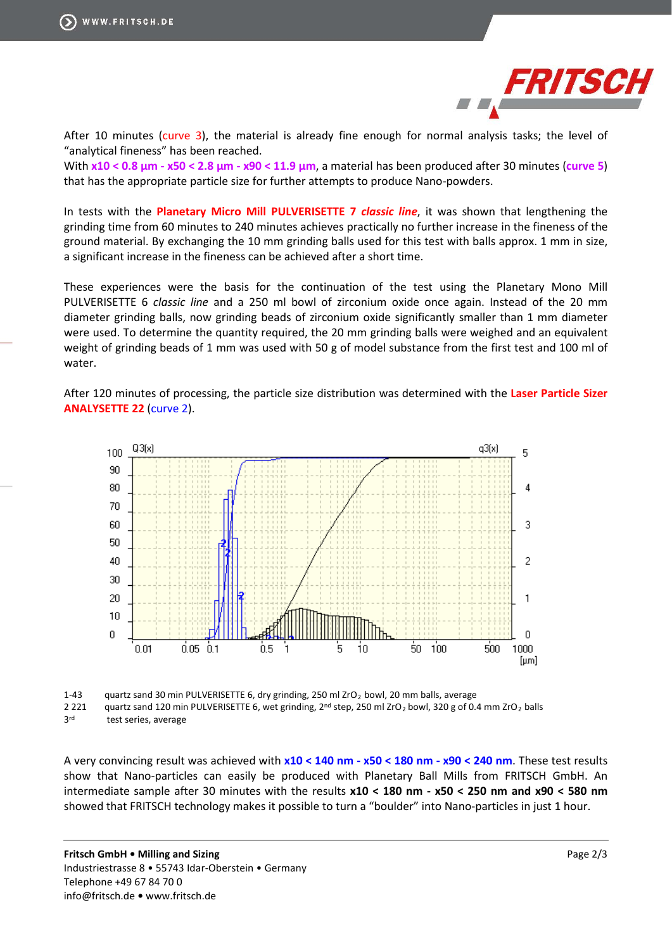

After 10 minutes (curve 3), the material is already fine enough for normal analysis tasks; the level of "analytical fineness" has been reached.

With **x10 < 0.8 μm - x50 < 2.8 μm - x90 < 11.9 μm**, a material has been produced after 30 minutes (**curve 5**) that has the appropriate particle size for further attempts to produce Nano-powders.

In tests with the **[Planetary Micro Mill PULVERISETTE 7](http://www.fritsch-international.com/sample-preparation/milling/planetary-mills/details/product/pulverisette-7-classic-line/)** *classic line*, it was shown that lengthening the grinding time from 60 minutes to 240 minutes achieves practically no further increase in the fineness of the ground material. By exchanging the 10 mm grinding balls used for this test with balls approx. 1 mm in size, a significant increase in the fineness can be achieved after a short time.

These experiences were the basis for the continuation of the test using the Planetary Mono Mill PULVERISETTE 6 *classic line* and a 250 ml bowl of zirconium oxide once again. Instead of the 20 mm diameter grinding balls, now grinding beads of zirconium oxide significantly smaller than 1 mm diameter were used. To determine the quantity required, the 20 mm grinding balls were weighed and an equivalent weight of grinding beads of 1 mm was used with 50 g of model substance from the first test and 100 ml of water.

After 120 minutes of processing, the particle size distribution was determined with the **Laser [Particle](https://www.fritsch-international.com/particle-sizing/static-light-scattering/) Sizer [ANALYSETTE 22](https://www.fritsch-international.com/particle-sizing/static-light-scattering/)** (curve 2).



1-43 quartz sand 30 min PULVERISETTE 6, dry grinding, 250 ml ZrO<sub>2</sub> bowl, 20 mm balls, average

2 221 quartz sand 120 min PULVERISETTE 6, wet grinding, 2<sup>nd</sup> step, 250 ml ZrO<sub>2</sub> bowl, 320 g of 0.4 mm ZrO<sub>2</sub> balls

3rd test series, average

A very convincing result was achieved with **x10 < 140 nm - x50 < 180 nm - x90 < 240 nm**. These test results show that Nano-particles can easily be produced with Planetary Ball Mills from FRITSCH GmbH. An intermediate sample after 30 minutes with the results **x10 < 180 nm - x50 < 250 nm and x90 < 580 nm** showed that FRITSCH technology makes it possible to turn a "boulder" into Nano-particles in just 1 hour.